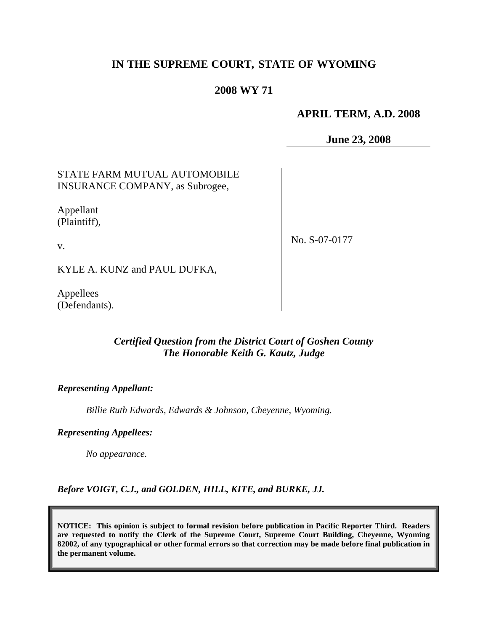# **IN THE SUPREME COURT, STATE OF WYOMING**

## **2008 WY 71**

### **APRIL TERM, A.D. 2008**

**June 23, 2008**

## STATE FARM MUTUAL AUTOMOBILE INSURANCE COMPANY, as Subrogee,

Appellant (Plaintiff),

v.

No. S-07-0177

KYLE A. KUNZ and PAUL DUFKA,

Appellees (Defendants).

## *Certified Question from the District Court of Goshen County The Honorable Keith G. Kautz, Judge*

#### *Representing Appellant:*

*Billie Ruth Edwards, Edwards & Johnson, Cheyenne, Wyoming.*

#### *Representing Appellees:*

*No appearance.*

*Before VOIGT, C.J., and GOLDEN, HILL, KITE, and BURKE, JJ.*

**NOTICE: This opinion is subject to formal revision before publication in Pacific Reporter Third. Readers are requested to notify the Clerk of the Supreme Court, Supreme Court Building, Cheyenne, Wyoming 82002, of any typographical or other formal errors so that correction may be made before final publication in the permanent volume.**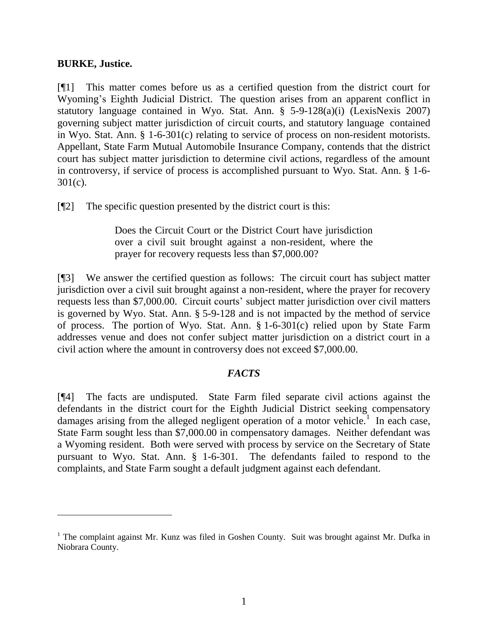### **BURKE, Justice.**

[¶1] This matter comes before us as a certified question from the district court for Wyoming"s Eighth Judicial District. The question arises from an apparent conflict in statutory language contained in Wyo. Stat. Ann. § 5-9-128(a)(i) (LexisNexis 2007) governing subject matter jurisdiction of circuit courts, and statutory language contained in Wyo. Stat. Ann. § 1-6-301(c) relating to service of process on non-resident motorists. Appellant, State Farm Mutual Automobile Insurance Company, contends that the district court has subject matter jurisdiction to determine civil actions, regardless of the amount in controversy, if service of process is accomplished pursuant to Wyo. Stat. Ann. § 1-6- 301(c).

 $[$ [ $|$ 2] The specific question presented by the district court is this:

Does the Circuit Court or the District Court have jurisdiction over a civil suit brought against a non-resident, where the prayer for recovery requests less than \$7,000.00?

[¶3] We answer the certified question as follows: The circuit court has subject matter jurisdiction over a civil suit brought against a non-resident, where the prayer for recovery requests less than \$7,000.00. Circuit courts' subject matter jurisdiction over civil matters is governed by Wyo. Stat. Ann. § 5-9-128 and is not impacted by the method of service of process. The portion of Wyo. Stat. Ann. § 1-6-301(c) relied upon by State Farm addresses venue and does not confer subject matter jurisdiction on a district court in a civil action where the amount in controversy does not exceed \$7,000.00.

## *FACTS*

[¶4] The facts are undisputed. State Farm filed separate civil actions against the defendants in the district court for the Eighth Judicial District seeking compensatory damages arising from the alleged negligent operation of a motor vehicle.<sup>1</sup> In each case, State Farm sought less than \$7,000.00 in compensatory damages. Neither defendant was a Wyoming resident. Both were served with process by service on the Secretary of State pursuant to Wyo. Stat. Ann. § 1-6-301. The defendants failed to respond to the complaints, and State Farm sought a default judgment against each defendant.

<sup>&</sup>lt;sup>1</sup> The complaint against Mr. Kunz was filed in Goshen County. Suit was brought against Mr. Dufka in Niobrara County.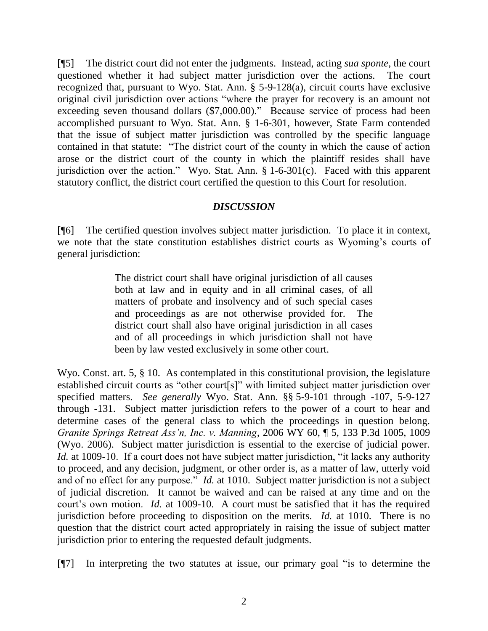[¶5] The district court did not enter the judgments. Instead, acting *sua sponte*, the court questioned whether it had subject matter jurisdiction over the actions. The court recognized that, pursuant to Wyo. Stat. Ann. § 5-9-128(a), circuit courts have exclusive original civil jurisdiction over actions "where the prayer for recovery is an amount not exceeding seven thousand dollars (\$7,000.00)." Because service of process had been accomplished pursuant to Wyo. Stat. Ann. § 1-6-301, however, State Farm contended that the issue of subject matter jurisdiction was controlled by the specific language contained in that statute: "The district court of the county in which the cause of action arose or the district court of the county in which the plaintiff resides shall have jurisdiction over the action." Wyo. Stat. Ann. § 1-6-301(c). Faced with this apparent statutory conflict, the district court certified the question to this Court for resolution.

## *DISCUSSION*

[¶6] The certified question involves subject matter jurisdiction. To place it in context, we note that the state constitution establishes district courts as Wyoming"s courts of general jurisdiction:

> The district court shall have original jurisdiction of all causes both at law and in equity and in all criminal cases, of all matters of probate and insolvency and of such special cases and proceedings as are not otherwise provided for. district court shall also have original jurisdiction in all cases and of all proceedings in which jurisdiction shall not have been by law vested exclusively in some other court.

Wyo. Const. art. 5, § 10. As contemplated in this constitutional provision, the legislature established circuit courts as "other court[s]" with limited subject matter jurisdiction over specified matters. *See generally* Wyo. Stat. Ann. §§ 5-9-101 through -107, 5-9-127 through -131. Subject matter jurisdiction refers to the power of a court to hear and determine cases of the general class to which the proceedings in question belong. *Granite Springs Retreat Ass'n, Inc. v. Manning*, 2006 WY 60, ¶ 5, 133 P.3d 1005, 1009 (Wyo. 2006). Subject matter jurisdiction is essential to the exercise of judicial power. *Id.* at 1009-10. If a court does not have subject matter jurisdiction, "it lacks any authority to proceed, and any decision, judgment, or other order is, as a matter of law, utterly void and of no effect for any purpose." *Id.* at 1010. Subject matter jurisdiction is not a subject of judicial discretion. It cannot be waived and can be raised at any time and on the court's own motion. *Id.* at 1009-10. A court must be satisfied that it has the required jurisdiction before proceeding to disposition on the merits. *Id.* at 1010. There is no question that the district court acted appropriately in raising the issue of subject matter jurisdiction prior to entering the requested default judgments.

[¶7] In interpreting the two statutes at issue, our primary goal "is to determine the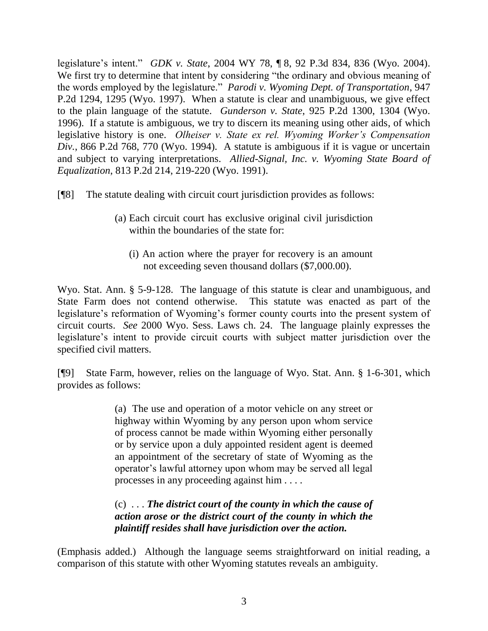legislature"s intent." *GDK v. State*, 2004 WY 78, ¶ 8, 92 P.3d 834, 836 (Wyo. 2004). We first try to determine that intent by considering "the ordinary and obvious meaning of the words employed by the legislature." *Parodi v. Wyoming Dept. of Transportation*, 947 P.2d 1294, 1295 (Wyo. 1997). When a statute is clear and unambiguous, we give effect to the plain language of the statute. *Gunderson v. State*, 925 P.2d 1300, 1304 (Wyo. 1996). If a statute is ambiguous, we try to discern its meaning using other aids, of which legislative history is one. *Olheiser v. State ex rel. Wyoming Worker's Compensation Div.*, 866 P.2d 768, 770 (Wyo. 1994). A statute is ambiguous if it is vague or uncertain and subject to varying interpretations. *Allied-Signal, Inc. v. Wyoming State Board of Equalization*, 813 P.2d 214, 219-220 (Wyo. 1991).

- [¶8] The statute dealing with circuit court jurisdiction provides as follows:
	- (a) Each circuit court has exclusive original civil jurisdiction within the boundaries of the state for:
		- (i) An action where the prayer for recovery is an amount not exceeding seven thousand dollars (\$7,000.00).

Wyo. Stat. Ann. § 5-9-128. The language of this statute is clear and unambiguous, and State Farm does not contend otherwise. This statute was enacted as part of the legislature's reformation of Wyoming's former county courts into the present system of circuit courts. *See* 2000 Wyo. Sess. Laws ch. 24. The language plainly expresses the legislature's intent to provide circuit courts with subject matter jurisdiction over the specified civil matters.

[¶9] State Farm, however, relies on the language of Wyo. Stat. Ann. § 1-6-301, which provides as follows:

> (a) The use and operation of a motor vehicle on any street or highway within Wyoming by any person upon whom service of process cannot be made within Wyoming either personally or by service upon a duly appointed resident agent is deemed an appointment of the secretary of state of Wyoming as the operator"s lawful attorney upon whom may be served all legal processes in any proceeding against him . . . .

# (c) . . . *The district court of the county in which the cause of action arose or the district court of the county in which the plaintiff resides shall have jurisdiction over the action.*

(Emphasis added.) Although the language seems straightforward on initial reading, a comparison of this statute with other Wyoming statutes reveals an ambiguity.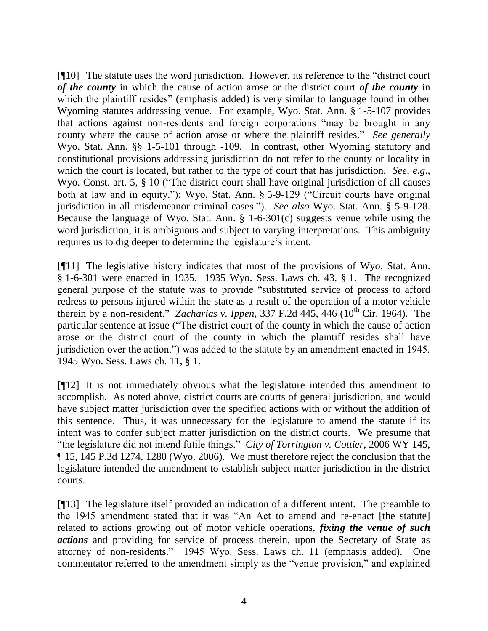[¶10] The statute uses the word jurisdiction. However, its reference to the "district court *of the county* in which the cause of action arose or the district court *of the county* in which the plaintiff resides" (emphasis added) is very similar to language found in other Wyoming statutes addressing venue. For example, Wyo. Stat. Ann. § 1-5-107 provides that actions against non-residents and foreign corporations "may be brought in any county where the cause of action arose or where the plaintiff resides." *See generally* Wyo. Stat. Ann. §§ 1-5-101 through -109. In contrast, other Wyoming statutory and constitutional provisions addressing jurisdiction do not refer to the county or locality in which the court is located, but rather to the type of court that has jurisdiction. *See*, *e*.*g*., Wyo. Const. art. 5, § 10 ("The district court shall have original jurisdiction of all causes both at law and in equity."); Wyo. Stat. Ann. § 5-9-129 ("Circuit courts have original jurisdiction in all misdemeanor criminal cases."). *See also* Wyo. Stat. Ann. § 5-9-128. Because the language of Wyo. Stat. Ann. § 1-6-301(c) suggests venue while using the word jurisdiction, it is ambiguous and subject to varying interpretations. This ambiguity requires us to dig deeper to determine the legislature's intent.

[¶11] The legislative history indicates that most of the provisions of Wyo. Stat. Ann. § 1-6-301 were enacted in 1935. 1935 Wyo. Sess. Laws ch. 43, § 1. The recognized general purpose of the statute was to provide "substituted service of process to afford redress to persons injured within the state as a result of the operation of a motor vehicle therein by a non-resident." *Zacharias v. Ippen*, 337 F.2d  $445$ ,  $446$  ( $10^{th}$  Cir. 1964). The particular sentence at issue ("The district court of the county in which the cause of action arose or the district court of the county in which the plaintiff resides shall have jurisdiction over the action.") was added to the statute by an amendment enacted in 1945. 1945 Wyo. Sess. Laws ch. 11, § 1.

[¶12] It is not immediately obvious what the legislature intended this amendment to accomplish. As noted above, district courts are courts of general jurisdiction, and would have subject matter jurisdiction over the specified actions with or without the addition of this sentence. Thus, it was unnecessary for the legislature to amend the statute if its intent was to confer subject matter jurisdiction on the district courts. We presume that "the legislature did not intend futile things." *City of Torrington v. Cottier*, 2006 WY 145, ¶ 15, 145 P.3d 1274, 1280 (Wyo. 2006). We must therefore reject the conclusion that the legislature intended the amendment to establish subject matter jurisdiction in the district courts.

[¶13] The legislature itself provided an indication of a different intent. The preamble to the 1945 amendment stated that it was "An Act to amend and re-enact [the statute] related to actions growing out of motor vehicle operations, *fixing the venue of such actions* and providing for service of process therein, upon the Secretary of State as attorney of non-residents." 1945 Wyo. Sess. Laws ch. 11 (emphasis added). One commentator referred to the amendment simply as the "venue provision," and explained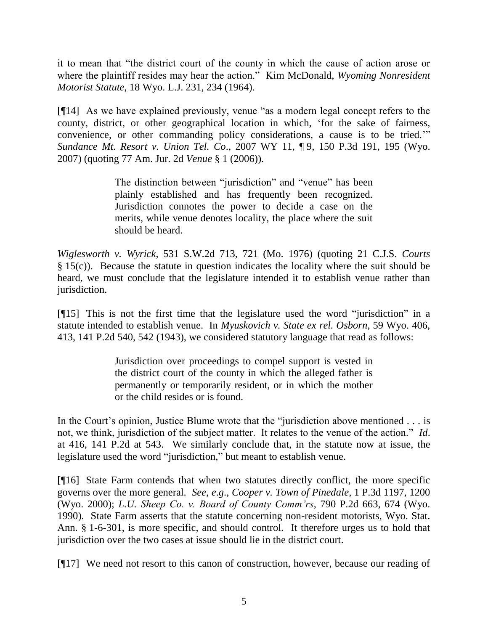it to mean that "the district court of the county in which the cause of action arose or where the plaintiff resides may hear the action." Kim McDonald, *Wyoming Nonresident Motorist Statute*, 18 Wyo. L.J. 231, 234 (1964).

[¶14] As we have explained previously, venue "as a modern legal concept refers to the county, district, or other geographical location in which, "for the sake of fairness, convenience, or other commanding policy considerations, a cause is to be tried."" *Sundance Mt. Resort v. Union Tel. Co*., 2007 WY 11, ¶ 9, 150 P.3d 191, 195 (Wyo. 2007) (quoting 77 Am. Jur. 2d *Venue* § 1 (2006)).

> The distinction between "jurisdiction" and "venue" has been plainly established and has frequently been recognized. Jurisdiction connotes the power to decide a case on the merits, while venue denotes locality, the place where the suit should be heard.

*Wiglesworth v. Wyrick*, 531 S.W.2d 713, 721 (Mo. 1976) (quoting 21 C.J.S. *Courts* § 15(c)). Because the statute in question indicates the locality where the suit should be heard, we must conclude that the legislature intended it to establish venue rather than jurisdiction.

[¶15] This is not the first time that the legislature used the word "jurisdiction" in a statute intended to establish venue. In *Myuskovich v. State ex rel. Osborn*, 59 Wyo. 406, 413, 141 P.2d 540, 542 (1943), we considered statutory language that read as follows:

> Jurisdiction over proceedings to compel support is vested in the district court of the county in which the alleged father is permanently or temporarily resident, or in which the mother or the child resides or is found.

In the Court's opinion, Justice Blume wrote that the "jurisdiction above mentioned  $\dots$  is not, we think, jurisdiction of the subject matter. It relates to the venue of the action." *Id*. at 416, 141 P.2d at 543. We similarly conclude that, in the statute now at issue, the legislature used the word "jurisdiction," but meant to establish venue.

[¶16] State Farm contends that when two statutes directly conflict, the more specific governs over the more general. *See*, *e*.*g*., *Cooper v. Town of Pinedale*, 1 P.3d 1197, 1200 (Wyo. 2000); *L.U. Sheep Co. v. Board of County Comm'rs*, 790 P.2d 663, 674 (Wyo. 1990). State Farm asserts that the statute concerning non-resident motorists, Wyo. Stat. Ann. § 1-6-301, is more specific, and should control. It therefore urges us to hold that jurisdiction over the two cases at issue should lie in the district court.

[¶17] We need not resort to this canon of construction, however, because our reading of